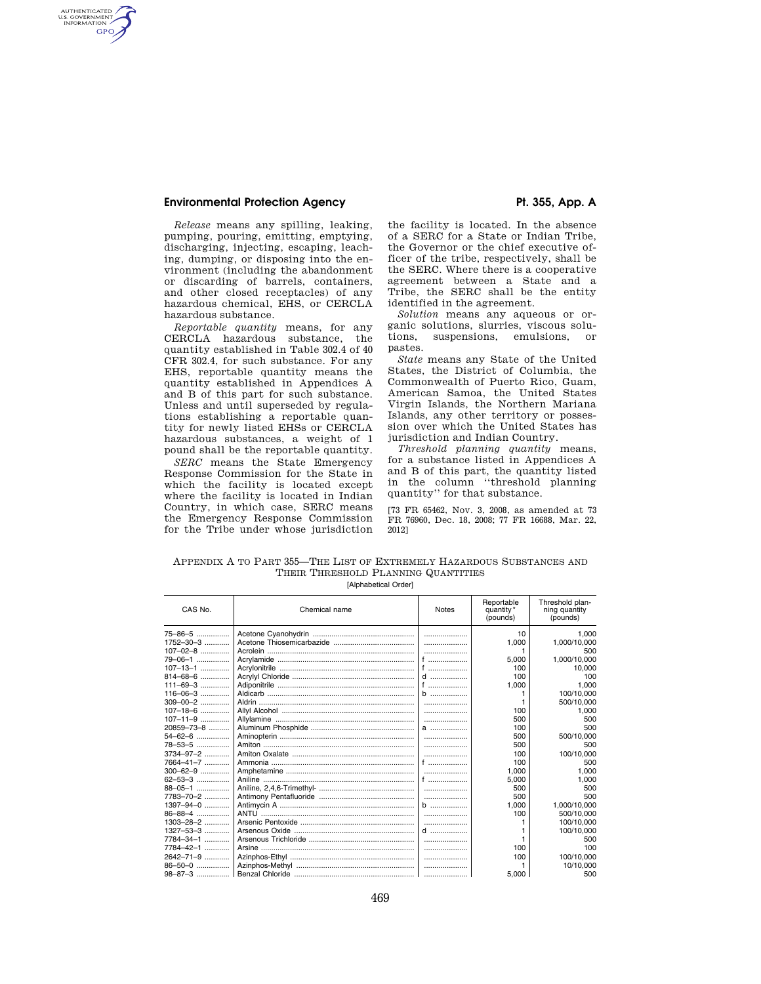#### **Environmental Protection Agency**  Pt. 355, App. A

AUTHENTICATED<br>U.S. GOVERNMENT<br>INFORMATION **GPO** 

*Release* means any spilling, leaking, pumping, pouring, emitting, emptying, discharging, injecting, escaping, leaching, dumping, or disposing into the environment (including the abandonment or discarding of barrels, containers, and other closed receptacles) of any hazardous chemical, EHS, or CERCLA hazardous substance.

*Reportable quantity* means, for any CERCLA hazardous substance, the quantity established in Table 302.4 of 40 CFR 302.4, for such substance. For any EHS, reportable quantity means the quantity established in Appendices A and B of this part for such substance. Unless and until superseded by regulations establishing a reportable quantity for newly listed EHSs or CERCLA hazardous substances, a weight of 1 pound shall be the reportable quantity.

*SERC* means the State Emergency Response Commission for the State in which the facility is located except where the facility is located in Indian Country, in which case, SERC means the Emergency Response Commission for the Tribe under whose jurisdiction the facility is located. In the absence of a SERC for a State or Indian Tribe, the Governor or the chief executive officer of the tribe, respectively, shall be the SERC. Where there is a cooperative agreement between a State and a Tribe, the SERC shall be the entity identified in the agreement.

*Solution* means any aqueous or organic solutions, slurries, viscous solutions, suspensions, emulsions, or pastes.

*State* means any State of the United States, the District of Columbia, the Commonwealth of Puerto Rico, Guam, American Samoa, the United States Virgin Islands, the Northern Mariana Islands, any other territory or possession over which the United States has jurisdiction and Indian Country.

*Threshold planning quantity* means, for a substance listed in Appendices A and B of this part, the quantity listed in the column ''threshold planning quantity'' for that substance.

[73 FR 65462, Nov. 3, 2008, as amended at 73 FR 76960, Dec. 18, 2008; 77 FR 16688, Mar. 22, 2012]

| APPENDIX A TO PART 355–THE LIST OF EXTREMELY HAZARDOUS SUBSTANCES AND |
|-----------------------------------------------------------------------|
| THEIR THRESHOLD PLANNING QUANTITIES                                   |
| .                                                                     |

| CAS No.         | Chemical name | <b>Notes</b> | Reportable<br>quantity *<br>(pounds) | Threshold plan-<br>ning quantity<br>(pounds) |
|-----------------|---------------|--------------|--------------------------------------|----------------------------------------------|
| 75-86-5         |               |              | 10                                   | 1.000                                        |
| 1752-30-3       |               |              | 1.000                                | 1,000/10,000                                 |
| $107 - 02 - 8$  |               |              |                                      | 500                                          |
| 79-06-1         |               | f            | 5.000                                | 1.000/10.000                                 |
| $107 - 13 - 1$  |               | f            | 100                                  | 10.000                                       |
| 814-68-6        |               | $d$          | 100                                  | 100                                          |
| $111 - 69 - 3$  |               |              | 1,000                                | 1.000                                        |
| $116 - 06 - 3$  |               |              |                                      | 100/10.000                                   |
| $309 - 00 - 2$  |               |              |                                      | 500/10.000                                   |
| $107 - 18 - 6$  |               |              | 100                                  | 1,000                                        |
| $107 - 11 - 9$  |               |              | 500                                  | 500                                          |
| 20859-73-8      |               | a            | 100                                  | 500                                          |
| 54-62-6         |               |              | 500                                  | 500/10,000                                   |
| 78-53-5         |               |              | 500                                  | 500                                          |
| 3734-97-2       |               |              | 100                                  | 100/10,000                                   |
| 7664-41-7       |               | f            | 100                                  | 500                                          |
| $300 - 62 - 9$  |               |              | 1.000                                | 1.000                                        |
| $62 - 53 - 3$   |               | f            | 5,000                                | 1.000                                        |
| 88-05-1         |               |              | 500                                  | 500                                          |
| 7783-70-2       |               |              | 500                                  | 500                                          |
| 1397-94-0       |               | b            | 1.000                                | 1.000/10.000                                 |
| 86-88-4         |               |              | 100                                  | 500/10,000                                   |
| $1303 - 28 - 2$ |               |              |                                      | 100/10.000                                   |
| 1327-53-3       |               |              |                                      | 100/10.000                                   |
| 7784-34-1       |               |              |                                      | 500                                          |
| 7784-42-1       |               |              | 100                                  | 100                                          |
| 2642-71-9       |               |              | 100                                  | 100/10.000                                   |
| 86-50-0         |               |              |                                      | 10/10,000                                    |
| $98 - 87 - 3$   |               |              | 5.000                                | 500                                          |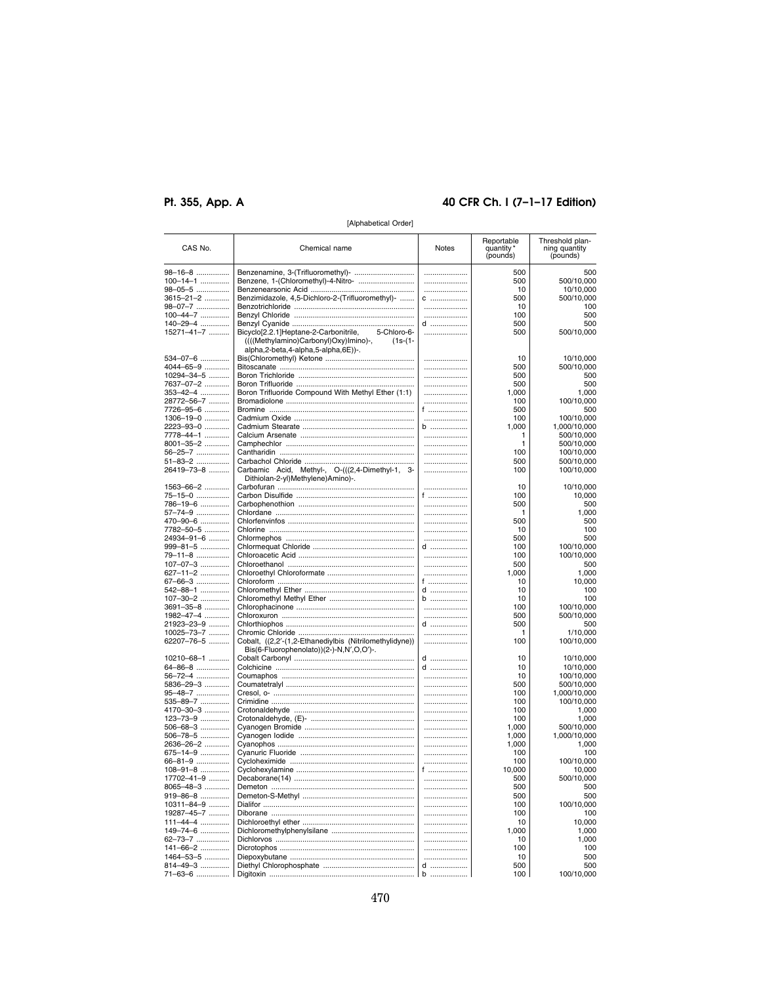# Pt. 355, App. A

#### 40 CFR Ch. I (7-1-17 Edition)

| CAS No.                | Chemical name                                                                                              | Notes    | Reportable<br>quantity<br>(pounds) | Threshold plan-<br>ning quantity<br>(pounds) |
|------------------------|------------------------------------------------------------------------------------------------------------|----------|------------------------------------|----------------------------------------------|
| 98-16-8                |                                                                                                            |          | 500                                | 500                                          |
| $100 - 14 - 1$         | Benzene, 1-(Chloromethyl)-4-Nitro-                                                                         |          | 500                                | 500/10,000                                   |
| 98-05-5                |                                                                                                            |          | 10                                 | 10/10,000                                    |
| 3615-21-2              | Benzimidazole, 4,5-Dichloro-2-(Trifluoromethyl)-                                                           | C        | 500                                | 500/10,000                                   |
| 98-07-7                |                                                                                                            |          | 10                                 | 100                                          |
| 100-44-7               |                                                                                                            |          | 100                                | 500                                          |
| 140-29-4               |                                                                                                            | d        | 500                                | 500                                          |
| 15271-41-7             | Bicyclo[2.2.1]Heptane-2-Carbonitrile,<br>5-Chloro-6-<br>((((Methylamino)Carbonyl)Oxy)Imino)-,<br>$(1s-(1-$ |          | 500                                | 500/10,000                                   |
|                        | alpha,2-beta,4-alpha,5-alpha,6E))-.                                                                        |          |                                    |                                              |
| 534-07-6               |                                                                                                            | .        | 10                                 | 10/10,000                                    |
| 4044-65-9              |                                                                                                            |          | 500                                | 500/10,000                                   |
| 10294-34-5             |                                                                                                            |          | 500                                | 500                                          |
| 7637-07-2              |                                                                                                            |          | 500                                | 500                                          |
| 353-42-4               | Boron Trifluoride Compound With Methyl Ether (1:1)                                                         |          | 1,000                              | 1,000                                        |
| 28772-56-7             |                                                                                                            |          | 100                                | 100/10,000                                   |
| 7726-95-6              |                                                                                                            | f ……………… | 500                                | 500                                          |
| 1306-19-0              |                                                                                                            |          | 100                                | 100/10,000                                   |
| 2223-93-0              |                                                                                                            | b        | 1,000                              | 1,000/10,000                                 |
| 7778-44-1              |                                                                                                            |          | 1                                  | 500/10,000                                   |
| 8001-35-2              |                                                                                                            |          | 1                                  | 500/10,000                                   |
| 56-25-7                |                                                                                                            |          | 100                                | 100/10,000                                   |
| 51-83-2                |                                                                                                            |          | 500                                | 500/10,000                                   |
| 26419-73-8             | Carbamic Acid, Methyl-, O-(((2,4-Dimethyl-1, 3-<br>Dithiolan-2-yl)Methylene)Amino)-.                       | .        | 100                                | 100/10,000                                   |
| 1563-66-2              |                                                                                                            |          | 10                                 | 10/10,000                                    |
| 75-15-0                |                                                                                                            | f ……………… | 100                                | 10,000                                       |
| 786-19-6               |                                                                                                            |          | 500                                | 500                                          |
| 57-74-9                |                                                                                                            |          | 1                                  | 1,000                                        |
| 470-90-6               |                                                                                                            |          | 500                                | 500                                          |
| 7782-50-5              |                                                                                                            |          | 10                                 | 100                                          |
| 24934-91-6             |                                                                                                            |          | 500                                | 500                                          |
| 999-81-5               |                                                                                                            | d        | 100                                | 100/10,000                                   |
| 79-11-8                |                                                                                                            |          | 100                                | 100/10,000                                   |
| 107-07-3               |                                                                                                            |          | 500                                | 500                                          |
| 627-11-2               |                                                                                                            |          | 1,000                              | 1,000                                        |
| 67-66-3                |                                                                                                            | f ……………… | 10                                 | 10,000                                       |
| 542-88-1               |                                                                                                            | d        | 10                                 | 100                                          |
| 107-30-2               |                                                                                                            | b        | 10                                 | 100                                          |
| 3691-35-8              |                                                                                                            |          | 100                                | 100/10,000                                   |
| 1982-47-4              |                                                                                                            |          | 500                                | 500/10,000                                   |
| 21923-23-9             |                                                                                                            | $d$      | 500                                | 500                                          |
| 10025-73-7             |                                                                                                            |          | 1                                  | 1/10,000                                     |
| 62207-76-5             | Cobalt, ((2,2'-(1,2-Ethanediylbis (Nitrilomethylidyne))<br>Bis(6-Fluorophenolato))(2-)-N,N',O,O')-.        |          | 100                                | 100/10,000                                   |
| 10210-68-1             |                                                                                                            | $d$      | 10                                 | 10/10,000                                    |
| 64-86-8                |                                                                                                            | d        | 10                                 | 10/10,000                                    |
| 56-72-4                |                                                                                                            |          | 10                                 | 100/10,000                                   |
| 5836-29-3              |                                                                                                            | .        | 500                                | 500/10,000                                   |
| 95-48-7                |                                                                                                            |          | 100                                | 1,000/10,000                                 |
| 535-89-7               |                                                                                                            | .        | 100                                | 100/10,000                                   |
| 4170-30-3              |                                                                                                            |          | 100                                | 1,000                                        |
| 123-73-9               |                                                                                                            |          | 100                                | 1,000                                        |
| 506-68-3               |                                                                                                            |          | 1,000                              | 500/10,000                                   |
| 506-78-5               |                                                                                                            |          | 1,000                              | 1,000/10,000                                 |
| 2636-26-2              |                                                                                                            |          | 1,000                              | 1,000                                        |
| 675-14-9               |                                                                                                            |          | 100                                | 100<br>100/10,000                            |
| 66-81-9<br>108-91-8    |                                                                                                            | <br>f    | 100<br>10,000                      | 10,000                                       |
| 17702-41-9             |                                                                                                            |          |                                    | 500/10,000                                   |
| $8065 - 48 - 3$        |                                                                                                            |          | 500<br>500                         | 500                                          |
|                        |                                                                                                            |          | 500                                | 500                                          |
| 919-86-8<br>10311-84-9 |                                                                                                            |          |                                    |                                              |
| 19287-45-7             |                                                                                                            |          | 100<br>100                         | 100/10,000<br>100                            |
|                        |                                                                                                            |          |                                    |                                              |
| 111-44-4               |                                                                                                            |          | 10                                 | 10,000                                       |
| 149-74-6               |                                                                                                            |          | 1,000                              | 1,000                                        |
| 62-73-7                |                                                                                                            |          | 10                                 | 1,000                                        |
| 141-66-2               |                                                                                                            |          | 100                                | 100                                          |
| 1464-53-5              |                                                                                                            |          | 10                                 | 500                                          |
| 814-49-3               |                                                                                                            | d        | 500                                | 500                                          |
| 71-63-6                |                                                                                                            | b<br>    | 100                                | 100/10,000                                   |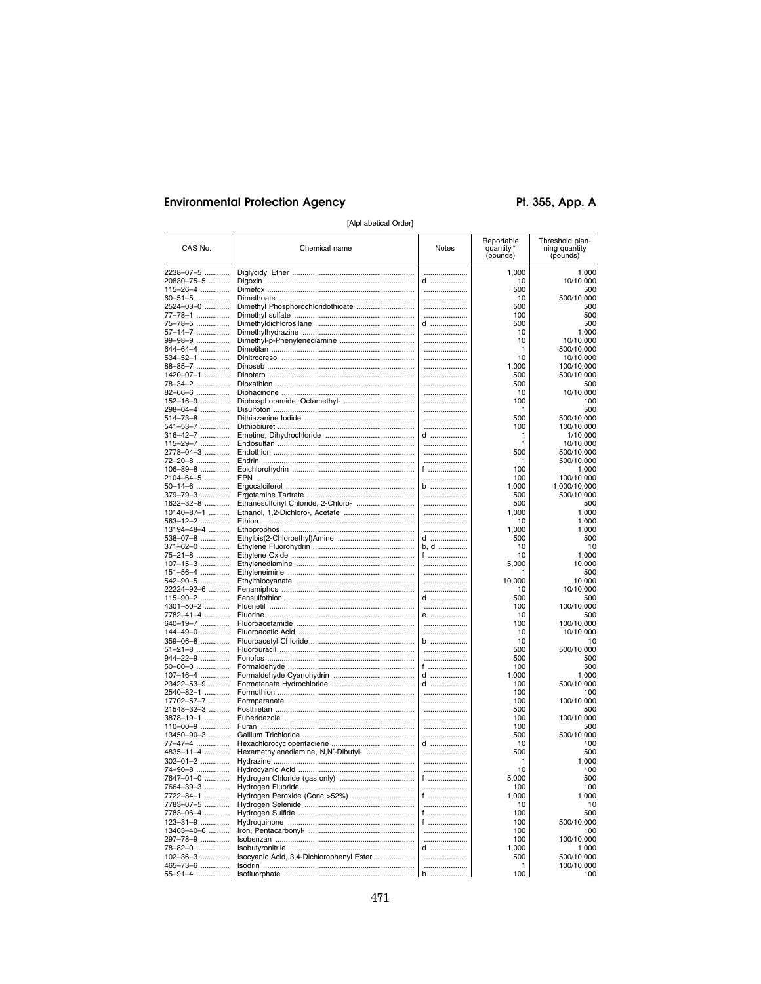# **Environmental Protection Agency**

Pt. 355, App. A

| CAS No.                 | Chemical name                            | Notes         | Reportable<br>quantity<br>(pounds) | Threshold plan-<br>ning quantity<br>(pounds) |
|-------------------------|------------------------------------------|---------------|------------------------------------|----------------------------------------------|
| 2238-07-5               |                                          | .             | 1,000                              | 1,000                                        |
| 20830-75-5              |                                          | d             | 10                                 | 10/10,000                                    |
| 115-26-4                |                                          |               | 500                                | 500                                          |
| 60-51-5                 |                                          |               | 10                                 | 500/10,000                                   |
| 2524-03-0               |                                          |               | 500                                | 500                                          |
| 77-78-1<br>75-78-5      |                                          | d             | 100<br>500                         | 500<br>500                                   |
| 57-14-7                 |                                          | .             | 10                                 | 1,000                                        |
| 99-98-9                 |                                          | .             | 10                                 | 10/10,000                                    |
| 644-64-4                |                                          | .             | 1                                  | 500/10,000                                   |
| 534-52-1                |                                          |               | 10                                 | 10/10,000                                    |
| 88-85-7                 |                                          | .             | 1,000                              | 100/10,000                                   |
| 1420-07-1               |                                          |               | 500                                | 500/10,000                                   |
| 78-34-2<br>82-66-6      |                                          |               | 500<br>10                          | 500<br>10/10,000                             |
| 152-16-9                | Diphosphoramide, Octamethyl-             |               | 100                                | 100                                          |
| 298-04-4                |                                          |               | 1                                  | 500                                          |
| 514-73-8                |                                          |               | 500                                | 500/10,000                                   |
| 541-53-7                |                                          |               | 100                                | 100/10,000                                   |
| 316-42-7                |                                          | d             | 1                                  | 1/10,000                                     |
| 115-29-7                |                                          |               | 1                                  | 10/10,000                                    |
| 2778-04-3               |                                          |               | 500                                | 500/10,000                                   |
| 72-20-8                 |                                          | <br>f ………………… | 1                                  | 500/10,000                                   |
| 106-89-8<br>2104-64-5   |                                          |               | 100<br>100                         | 1,000<br>100/10,000                          |
| 50-14-6                 |                                          | b             | 1,000                              | 1,000/10,000                                 |
| 379-79-3                |                                          |               | 500                                | 500/10,000                                   |
| 1622-32-8               |                                          | .             | 500                                | 500                                          |
| $10140 - 87 - 1$        |                                          |               | 1,000                              | 1,000                                        |
| 563–12–2                |                                          |               | 10                                 | 1,000                                        |
| 13194-48-4              |                                          |               | 1,000                              | 1,000                                        |
| 538-07-8                |                                          | d             | 500                                | 500                                          |
| 371-62-0<br>75-21-8     |                                          | b, d<br>f     | 10<br>10                           | 10<br>1,000                                  |
| 107-15-3                |                                          |               | 5,000                              | 10,000                                       |
| $151 - 56 - 4$          |                                          |               | 1                                  | 500                                          |
| 542-90-5                |                                          |               | 10,000                             | 10,000                                       |
| 22224-92-6              |                                          |               | 10                                 | 10/10,000                                    |
| 115-90-2                |                                          | d             | 500                                | 500                                          |
| 4301-50-2               |                                          |               | 100                                | 100/10,000                                   |
| 7782-41-4               |                                          | $e$           | 10                                 | 500                                          |
| 640-19-7<br>144-49-0    |                                          |               | 100<br>10                          | 100/10,000<br>10/10,000                      |
| 359-06-8                |                                          | b             | 10                                 | 10                                           |
| 51-21-8                 |                                          |               | 500                                | 500/10,000                                   |
| 944-22-9                |                                          |               | 500                                | 500                                          |
| 50-00-0                 |                                          | f …………………     | 100                                | 500                                          |
| $107 - 16 - 4$          |                                          | d             | 1,000                              | 1,000                                        |
| 23422-53-9              |                                          | d             | 100                                | 500/10,000                                   |
| 2540-82-1               |                                          |               | 100                                | 100                                          |
| 17702-57-7              |                                          |               | 100                                | 100/10,000                                   |
| 21548-32-3<br>3878-19-1 |                                          |               | 500<br>100                         | 500<br>100/10,000                            |
| $110 - 00 - 9$          |                                          |               | 100                                | 500                                          |
| 13450-90-3              |                                          |               | 500                                | 500/10,000                                   |
| 77-47-4                 |                                          | d             | 10                                 | 100                                          |
| 4835-11-4               | Hexamethylenediamine, N,N'-Dibutyl-      |               | 500                                | 500                                          |
| 302-01-2                |                                          |               | 1                                  | 1,000                                        |
| 74-90-8                 |                                          |               | 10                                 | 100                                          |
| 7647-01-0               |                                          | f             | 5,000                              | 500                                          |
| 7664-39-3               |                                          |               | 100                                | 100                                          |
| 7722-84-1               | Hydrogen Peroxide (Conc >52%)            | f             | 1,000<br>10                        | 1,000<br>10                                  |
| 7783-07-5<br>7783-06-4  |                                          | f             | 100                                | 500                                          |
| $123 - 31 - 9$          |                                          | f             | 100                                | 500/10,000                                   |
| 13463-40-6              |                                          |               | 100                                | 100                                          |
| 297-78-9                |                                          |               | 100                                | 100/10,000                                   |
| 78-82-0                 |                                          | d             | 1,000                              | 1,000                                        |
| 102-36-3                | Isocyanic Acid, 3,4-Dichlorophenyl Ester |               | 500                                | 500/10,000                                   |
| 465-73-6                |                                          |               | 1                                  | 100/10,000                                   |
| 55-91-4                 |                                          | b             | 100                                | 100                                          |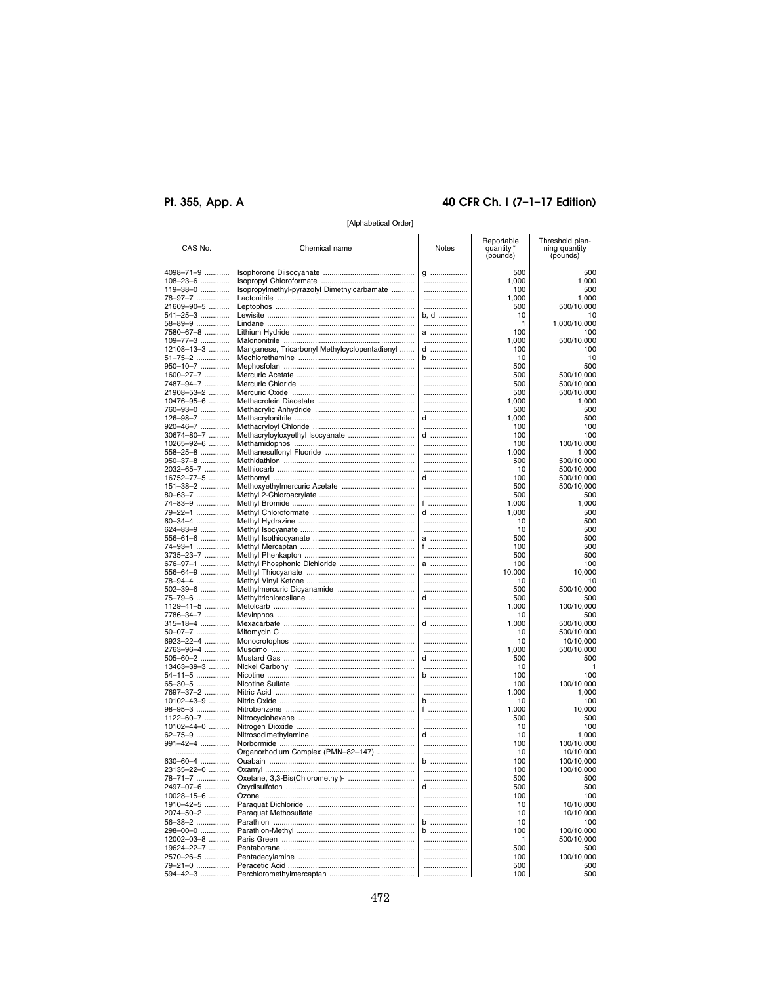# Pt. 355, App. A

# 40 CFR Ch. I (7-1-17 Edition)

| CAS No.                | Chemical name                                 | Notes         | Reportable<br>quantity<br>(pounds) | Threshold plan-<br>ning quantity<br>(pounds) |
|------------------------|-----------------------------------------------|---------------|------------------------------------|----------------------------------------------|
| 4098–71–9              |                                               | g             | 500                                | 500                                          |
| 108–23–6               |                                               |               | 1,000                              | 1,000                                        |
| 119–38–0               | Isopropylmethyl-pyrazolyl Dimethylcarbamate   |               | 100                                | 500                                          |
| 78-97-7                |                                               |               | 1,000                              | 1,000                                        |
| 21609–90–5             |                                               |               | 500                                | 500/10,000                                   |
| 541–25–3 ……………         |                                               | b, d          | 10                                 | 10                                           |
| 58–89–9                |                                               |               | 1                                  | 1,000/10,000                                 |
| 7580–67–8 …………         |                                               | a             | 100                                | 100                                          |
| 109-77-3               |                                               |               | 1,000                              | 500/10,000                                   |
| 12108-13-3             | Manganese, Tricarbonyl Methylcyclopentadienyl | d<br>$b$      | 100<br>10                          | 100<br>10                                    |
| 51–75–2<br>950-10-7    |                                               |               | 500                                | 500                                          |
| 1600-27-7              |                                               |               | 500                                | 500/10,000                                   |
| 7487-94-7              |                                               | .             | 500                                | 500/10,000                                   |
| 21908-53-2             |                                               |               | 500                                | 500/10,000                                   |
| 10476-95-6             |                                               | .             | 1.000                              | 1,000                                        |
| 760–93–0               |                                               |               | 500                                | 500                                          |
| 126-98-7               |                                               | $d$           | 1,000                              | 500                                          |
| 920-46-7               |                                               |               | 100                                | 100                                          |
| 30674-80-7             |                                               | d             | 100                                | 100                                          |
| 10265–92–6 ……….        |                                               | .             | 100                                | 100/10,000                                   |
| 558–25–8               |                                               |               | 1.000                              | 1,000                                        |
| 950–37–8               |                                               | .             | 500                                | 500/10,000                                   |
| 2032–65–7              |                                               |               | 10                                 | 500/10,000                                   |
| 16752–77–5 ……….        |                                               | d             | 100                                | 500/10,000                                   |
| 151–38–2               |                                               |               | 500                                | 500/10,000                                   |
| 80-63-7                |                                               | .             | 500                                | 500                                          |
| 74–83–9                |                                               | f             | 1,000                              | 1,000                                        |
| 79–22–1 ……………          |                                               | d             | 1,000                              | 500                                          |
| 60–34–4 ……………          |                                               | .             | 10<br>10                           | 500<br>500                                   |
| 624–83–9               |                                               |               |                                    | 500                                          |
| 556–61–6<br>74–93–1    |                                               | a<br>f ……………… | 500<br>100                         | 500                                          |
| 3735–23–7 …………         |                                               |               | 500                                | 500                                          |
| 676–97–1 ……………         |                                               | a             | 100                                | 100                                          |
| 556–64–9               |                                               |               | 10,000                             | 10,000                                       |
| 78-94-4                |                                               |               | 10                                 | 10                                           |
| 502–39–6               |                                               |               | 500                                | 500/10,000                                   |
| 75–79–6 ……………          |                                               | d             | 500                                | 500                                          |
| 1129–41–5 …………         |                                               |               | 1,000                              | 100/10,000                                   |
| 7786-34-7              |                                               |               | 10                                 | 500                                          |
| 315–18–4               |                                               | d             | 1,000                              | 500/10,000                                   |
| 50-07-7                |                                               |               | 10                                 | 500/10,000                                   |
| 6923–22–4 …………         |                                               |               | 10                                 | 10/10,000                                    |
| 2763-96-4              |                                               |               | 1,000                              | 500/10,000                                   |
| 505-60-2               |                                               | d             | 500                                | 500                                          |
| 13463-39-3             |                                               |               | 10                                 |                                              |
| 54–11–5<br>65-30-5     |                                               | b<br>         | 100<br>100                         | 100<br>100/10,000                            |
| 7697-37-2              |                                               |               | 1,000                              | 1,000                                        |
| 10102-43-9             |                                               | $b$           | 10                                 | 100                                          |
| 98-95-3                |                                               | f             | 1,000                              | 10,000                                       |
| 1122-60-7              |                                               |               | 500                                | 500                                          |
| 10102--44-0            |                                               |               | 10                                 | 100                                          |
| 62–75–9 …………….         |                                               | d             | 10                                 | 1.000                                        |
| 991–42–4               |                                               |               | 100                                | 100/10,000                                   |
|                        | Organorhodium Complex (PMN-82-147)            |               | 10                                 | 10/10.000                                    |
| 630–60–4               |                                               | b             | 100                                | 100/10,000                                   |
| 23135–22–0 ……….        |                                               |               | 100                                | 100/10,000                                   |
| 78-71-7                | Oxetane, 3,3-Bis(Chloromethyl)-               |               | 500                                | 500                                          |
| 2497–07–6 …………         |                                               | d             | 500                                | 500                                          |
| 10028-15-6             |                                               |               | 100                                | 100                                          |
| 1910-42-5              |                                               |               | 10                                 | 10/10,000                                    |
| 2074-50-2              |                                               |               | 10                                 | 10/10,000                                    |
| 56-38-2                |                                               | b             | 10                                 | 100                                          |
| 298-00-0<br>12002-03-8 |                                               | b<br>         | 100                                | 100/10,000<br>500/10,000                     |
| 19624–22–7 ………         |                                               |               | 500                                | 500                                          |
| 2570–26–5              |                                               |               | 100                                | 100/10,000                                   |
| 79–21–0                |                                               |               | 500                                | 500                                          |
| <b>COA AO 2</b>        | Porchloromothylmoroantan                      |               | 100                                | <b>END</b>                                   |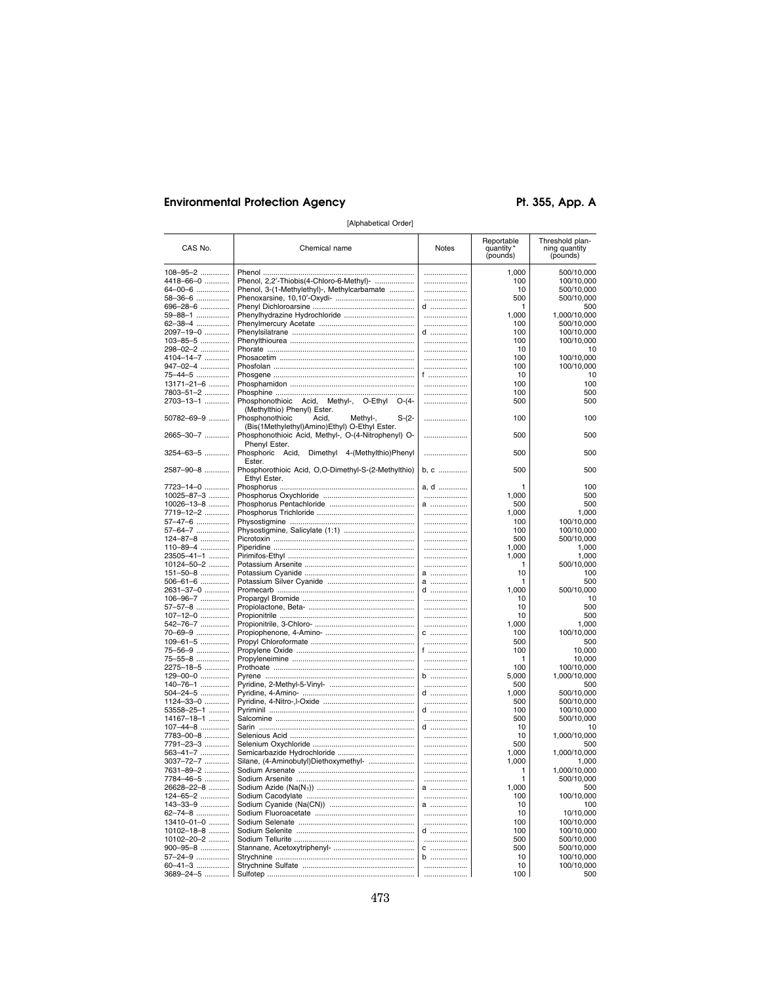# **Environmental Protection Agency**

Pt. 355, App. A

| CAS No.              | Chemical name                                                                                        | Notes | Reportable<br>quantity<br>(pounds) | Threshold plan-<br>ning quantity<br>(pounds) |
|----------------------|------------------------------------------------------------------------------------------------------|-------|------------------------------------|----------------------------------------------|
| 108-95-2             |                                                                                                      |       | 1,000                              | 500/10,000                                   |
| 4418-66-0            | Phenol, 2,2'-Thiobis(4-Chloro-6-Methyl)-                                                             |       | 100                                | 100/10,000                                   |
| 64-00-6              | Phenol, 3-(1-Methylethyl)-, Methylcarbamate                                                          |       | 10                                 | 500/10,000                                   |
| 58-36-6              |                                                                                                      |       | 500                                | 500/10,000                                   |
| 696-28-6             |                                                                                                      | d     | 1                                  | 500                                          |
| 59-88-1              |                                                                                                      |       | 1,000                              | 1,000/10,000                                 |
| 62-38-4              |                                                                                                      |       | 100                                | 500/10,000                                   |
| 2097-19-0            |                                                                                                      | d     | 100                                | 100/10,000                                   |
| 103-85-5             |                                                                                                      |       | 100                                | 100/10,000                                   |
| 298-02-2             |                                                                                                      |       | 10                                 | 10                                           |
| 4104–14–7 …………       |                                                                                                      |       | 100                                | 100/10,000                                   |
| 947-02-4<br>75-44-5  |                                                                                                      | f     | 100<br>10                          | 100/10,000<br>10                             |
| 13171-21-6           |                                                                                                      |       | 100                                | 100                                          |
| 7803-51-2            |                                                                                                      |       | 100                                | 500                                          |
| 2703-13-1            | Phosphonothioic Acid, Methyl-, O-Ethyl O-(4-                                                         | .     | 500                                | 500                                          |
| 50782-69-9           | (Methylthio) Phenyl) Ester.<br>Phosphonothioic<br>Acid,<br>Methyl-,<br>$S-(2-$                       |       | 100                                | 100                                          |
| 2665-30-7            | (Bis(1Methylethyl)Amino)Ethyl) O-Ethyl Ester.<br>Phosphonothioic Acid, Methyl-, O-(4-Nitrophenyl) O- | .     | 500                                | 500                                          |
| 3254-63-5            | Phenyl Ester.<br>Phosphoric<br>Acid,<br>Dimethyl 4-(Methylthio)Phenyl                                |       | 500                                | 500                                          |
| 2587-90-8            | Ester.<br>Phosphorothioic Acid, O,O-Dimethyl-S-(2-Methylthio)                                        | b, c  | 500                                | 500                                          |
| 7723-14-0            | Ethyl Ester.                                                                                         | a, d  | 1                                  | 100                                          |
| 10025-87-3           |                                                                                                      |       | 1,000                              | 500                                          |
| $10026 - 13 - 8$     |                                                                                                      | a     | 500                                | 500                                          |
| 7719-12-2            |                                                                                                      |       | 1,000                              | 1,000                                        |
| 57-47-6              |                                                                                                      |       | 100                                | 100/10,000                                   |
| 57-64-7              |                                                                                                      |       | 100                                | 100/10,000                                   |
| 124-87-8             |                                                                                                      |       | 500                                | 500/10,000                                   |
| 110-89-4             |                                                                                                      |       | 1,000                              | 1,000                                        |
| 23505-41-1           |                                                                                                      |       | 1,000                              | 1,000                                        |
| 10124-50-2           |                                                                                                      | a     | 1<br>10                            | 500/10,000                                   |
| 151-50-8<br>506-61-6 |                                                                                                      | a     | 1                                  | 100<br>500                                   |
| 2631-37-0            |                                                                                                      | $d$   | 1.000                              | 500/10,000                                   |
| 106-96-7             |                                                                                                      |       | 10                                 | 10                                           |
| 57-57-8              |                                                                                                      |       | 10                                 | 500                                          |
| 107-12-0             |                                                                                                      |       | 10                                 | 500                                          |
| 542-76-7             |                                                                                                      |       | 1,000                              | 1,000                                        |
| 70-69-9              |                                                                                                      | $C$   | 100                                | 100/10,000                                   |
| 109-61-5             |                                                                                                      |       | 500                                | 500                                          |
| 75-56-9              |                                                                                                      | f     | 100                                | 10,000                                       |
| 75-55-8              |                                                                                                      |       | 1                                  | 10,000                                       |
| 2275-18-5            |                                                                                                      |       | 100                                | 100/10,000                                   |
| 129-00-0             |                                                                                                      | b     | 5,000                              | 1,000/10,000                                 |
| 140-76-1<br>504-24-5 |                                                                                                      | d     | 500<br>1,000                       | 500<br>500/10,000                            |
| 1124-33-0            |                                                                                                      |       | 500                                | 500/10,000                                   |
| 53558–25–1 ……….      |                                                                                                      | d     | 100                                | 100/10,000                                   |
| 14167-18-1           |                                                                                                      |       | 500                                | 500/10,000                                   |
| $107 - 44 - 8$       |                                                                                                      | d     | 10                                 | 10                                           |
| 7783-00-8            |                                                                                                      |       | 10                                 | 1,000/10,000                                 |
| 7791-23-3            |                                                                                                      |       | 500                                | 500                                          |
| 563-41-7             |                                                                                                      |       | 1,000                              | 1,000/10,000                                 |
| 3037-72-7            | Silane, (4-Aminobutyl)Diethoxymethyl-                                                                |       | 1,000                              | 1,000                                        |
| 7631-89-2            |                                                                                                      |       | 1                                  | 1,000/10,000                                 |
| 7784-46-5            |                                                                                                      |       | 1                                  | 500/10,000                                   |
| 26628-22-8           |                                                                                                      | a     | 1,000                              | 500                                          |
| 124-65-2             |                                                                                                      | a     | 100<br>10                          | 100/10,000                                   |
| 143-33-9<br>62-74-8  |                                                                                                      |       | 10                                 | 100<br>10/10,000                             |
| 13410-01-0           |                                                                                                      |       | 100                                | 100/10,000                                   |
| 10102-18-8           |                                                                                                      | d     | 100                                | 100/10.000                                   |
| 10102-20-2           |                                                                                                      |       | 500                                | 500/10,000                                   |
| $900 - 95 - 8$       |                                                                                                      | $C$   | 500                                | 500/10,000                                   |
| 57-24-9              |                                                                                                      | b     | 10                                 | 100/10,000                                   |
| 60-41-3              |                                                                                                      |       | 10                                 | 100/10,000                                   |
| 3689-24-5            |                                                                                                      |       | 100                                | 500                                          |